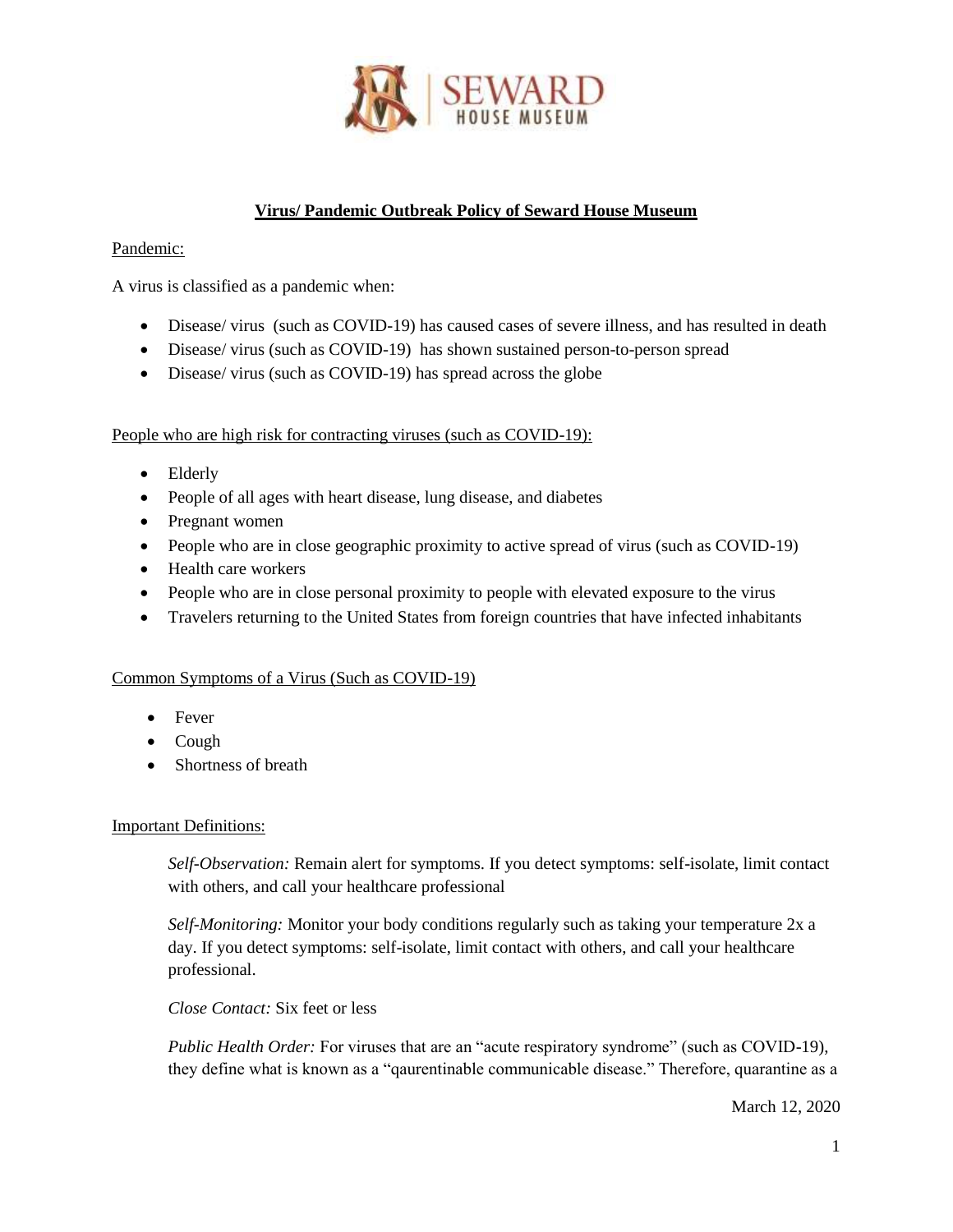

# **Virus/ Pandemic Outbreak Policy of Seward House Museum**

### Pandemic:

A virus is classified as a pandemic when:

- Disease/ virus (such as COVID-19) has caused cases of severe illness, and has resulted in death
- Disease/ virus (such as COVID-19) has shown sustained person-to-person spread
- Disease/ virus (such as COVID-19) has spread across the globe

People who are high risk for contracting viruses (such as COVID-19):

- Elderly
- People of all ages with heart disease, lung disease, and diabetes
- Pregnant women
- People who are in close geographic proximity to active spread of virus (such as COVID-19)
- Health care workers
- People who are in close personal proximity to people with elevated exposure to the virus
- Travelers returning to the United States from foreign countries that have infected inhabitants

#### Common Symptoms of a Virus (Such as COVID-19)

- Fever
- Cough
- Shortness of breath

#### Important Definitions:

*Self-Observation:* Remain alert for symptoms. If you detect symptoms: self-isolate, limit contact with others, and call your healthcare professional

*Self-Monitoring:* Monitor your body conditions regularly such as taking your temperature 2x a day. If you detect symptoms: self-isolate, limit contact with others, and call your healthcare professional.

*Close Contact:* Six feet or less

*Public Health Order:* For viruses that are an "acute respiratory syndrome" (such as COVID-19), they define what is known as a "qaurentinable communicable disease." Therefore, quarantine as a

March 12, 2020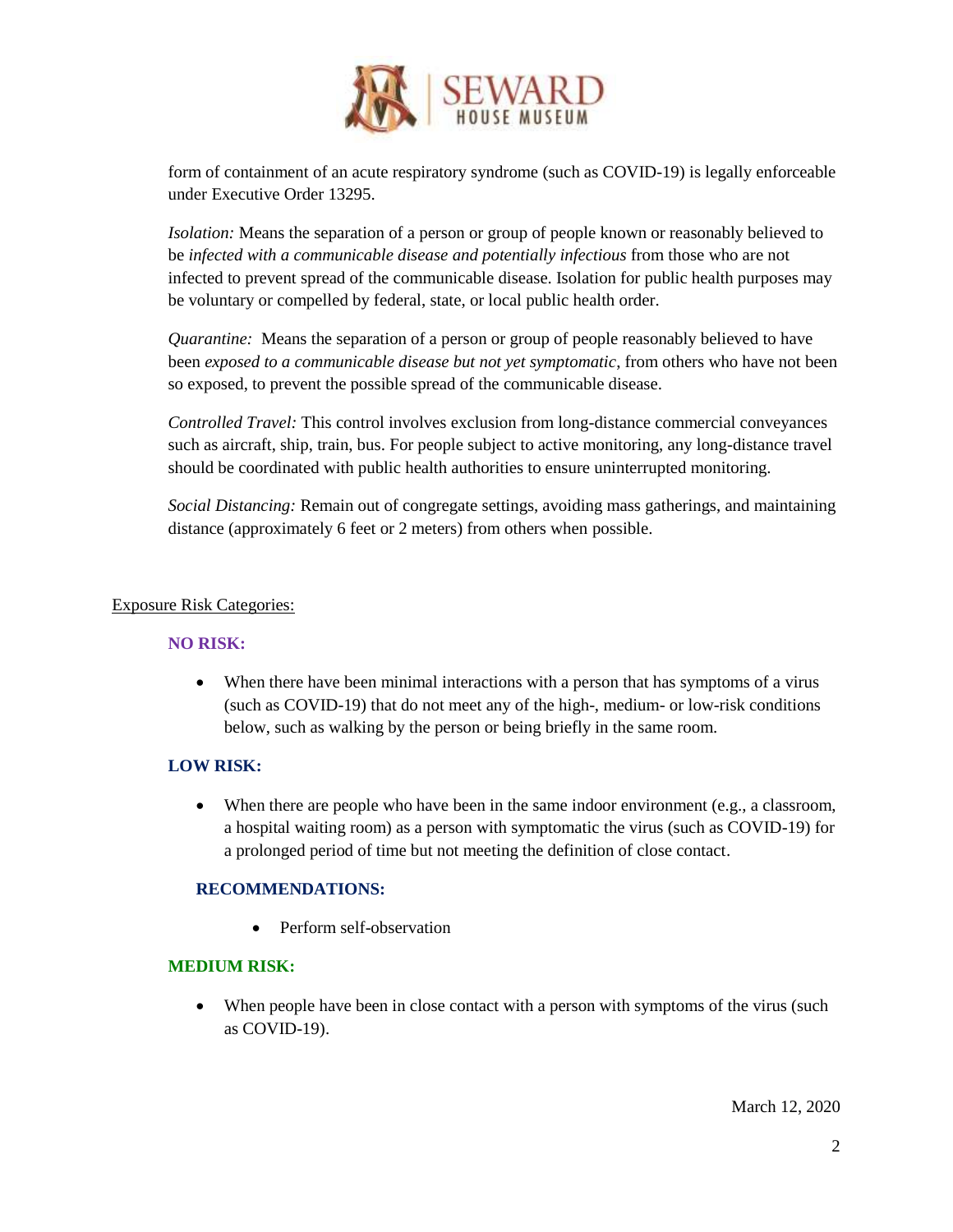

form of containment of an acute respiratory syndrome (such as COVID-19) is legally enforceable under Executive Order 13295.

*Isolation:* Means the separation of a person or group of people known or reasonably believed to be *infected with a communicable disease and potentially infectious* from those who are not infected to prevent spread of the communicable disease. Isolation for public health purposes may be voluntary or compelled by federal, state, or local public health order.

*Quarantine:* Means the separation of a person or group of people reasonably believed to have been *exposed to a communicable disease but not yet symptomatic*, from others who have not been so exposed, to prevent the possible spread of the communicable disease.

*Controlled Travel:* This control involves exclusion from long-distance commercial conveyances such as aircraft, ship, train, bus. For people subject to active monitoring, any long-distance travel should be coordinated with public health authorities to ensure uninterrupted monitoring.

*Social Distancing:* Remain out of congregate settings, avoiding mass gatherings, and maintaining distance (approximately 6 feet or 2 meters) from others when possible.

#### Exposure Risk Categories:

## **NO RISK:**

 When there have been minimal interactions with a person that has symptoms of a virus (such as COVID-19) that do not meet any of the high-, medium- or low-risk conditions below, such as walking by the person or being briefly in the same room.

## **LOW RISK:**

 $\bullet$  When there are people who have been in the same indoor environment (e.g., a classroom, a hospital waiting room) as a person with symptomatic the virus (such as COVID-19) for a prolonged period of time but not meeting the definition of close contact.

## **RECOMMENDATIONS:**

• Perform self-observation

## **MEDIUM RISK:**

• When people have been in close contact with a person with symptoms of the virus (such as COVID-19).

March 12, 2020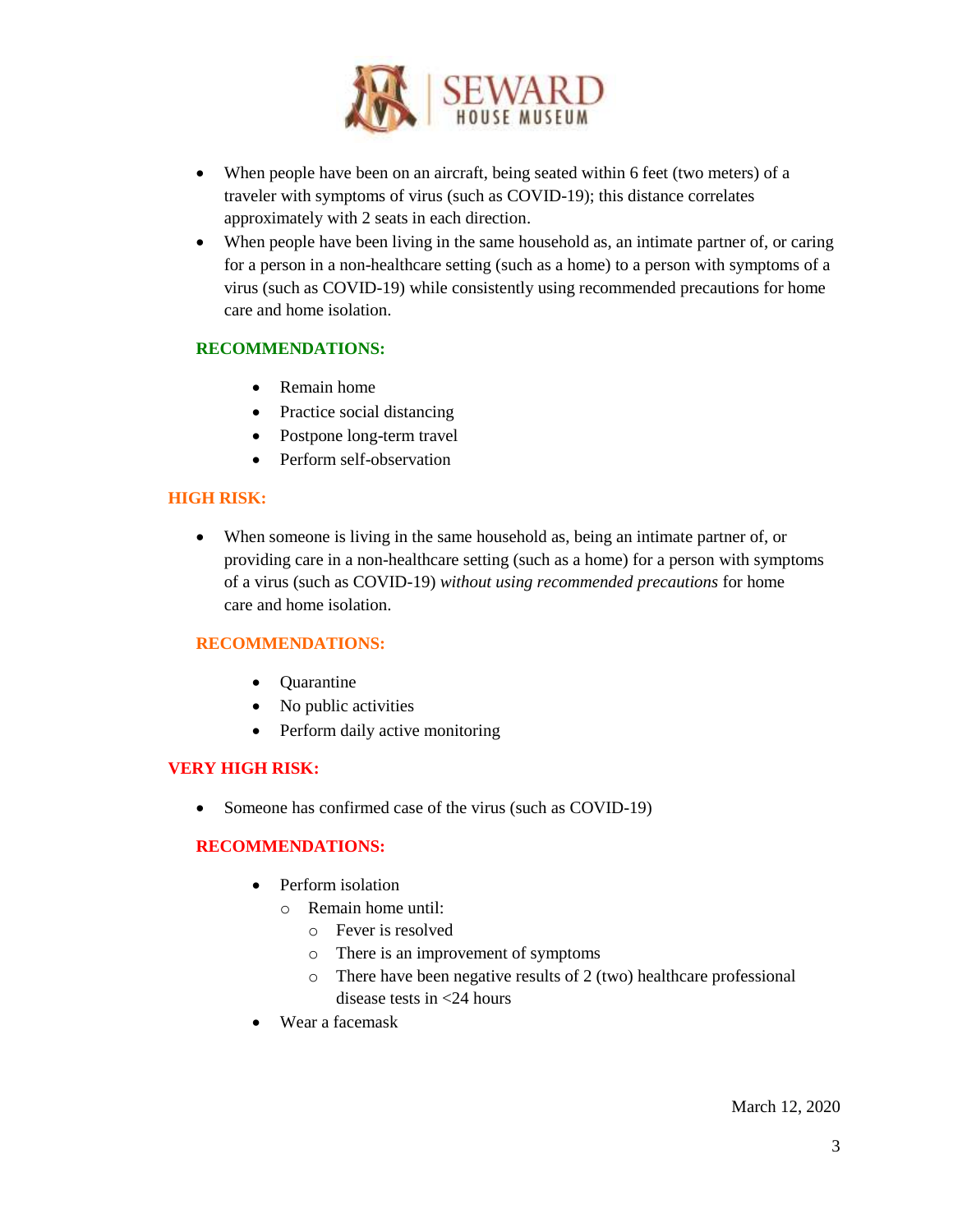

- When people have been on an aircraft, being seated within 6 feet (two meters) of a traveler with symptoms of virus (such as COVID-19); this distance correlates approximately with 2 seats in each direction.
- When people have been living in the same household as, an intimate partner of, or caring for a person in a non-healthcare setting (such as a home) to a person with symptoms of a virus (such as COVID-19) while consistently using recommended precautions for home care and home isolation.

#### **RECOMMENDATIONS:**

- Remain home
- Practice social distancing
- Postpone long-term travel
- Perform self-observation

#### **HIGH RISK:**

 When someone is living in the same household as, being an intimate partner of, or providing care in a non-healthcare setting (such as a home) for a person with symptoms of a virus (such as COVID-19) *without using recommended precautions* for home care and home isolation.

## **RECOMMENDATIONS:**

- Quarantine
- No public activities
- Perform daily active monitoring

#### **VERY HIGH RISK:**

• Someone has confirmed case of the virus (such as COVID-19)

#### **RECOMMENDATIONS:**

- Perform isolation
	- o Remain home until:
		- o Fever is resolved
		- o There is an improvement of symptoms
		- o There have been negative results of 2 (two) healthcare professional disease tests in <24 hours
- Wear a facemask